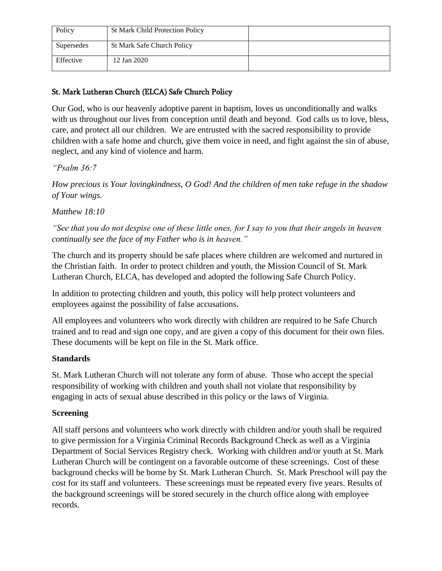| Policy     | <b>St Mark Child Protection Policy</b> |  |
|------------|----------------------------------------|--|
| Supersedes | St Mark Safe Church Policy             |  |
| Effective  | 12 Jan 2020                            |  |

## St. Mark Lutheran Church (ELCA) Safe Church Policy

Our God, who is our heavenly adoptive parent in baptism, loves us unconditionally and walks with us throughout our lives from conception until death and beyond. God calls us to love, bless, care, and protect all our children. We are entrusted with the sacred responsibility to provide children with a safe home and church, give them voice in need, and fight against the sin of abuse, neglect, and any kind of violence and harm.

### *"Psalm 36:7*

*How precious is Your lovingkindness, O God! And the children of men take refuge in the shadow of Your wings.*

# *Matthew 18:10*

*"See that you do not despise one of these little ones, for I say to you that their angels in heaven continually see the face of my Father who is in heaven."*

The church and its property should be safe places where children are welcomed and nurtured in the Christian faith. In order to protect children and youth, the Mission Council of St. Mark Lutheran Church, ELCA, has developed and adopted the following Safe Church Policy.

In addition to protecting children and youth, this policy will help protect volunteers and employees against the possibility of false accusations.

All employees and volunteers who work directly with children are required to be Safe Church trained and to read and sign one copy, and are given a copy of this document for their own files. These documents will be kept on file in the St. Mark office.

### **Standards**

St. Mark Lutheran Church will not tolerate any form of abuse. Those who accept the special responsibility of working with children and youth shall not violate that responsibility by engaging in acts of sexual abuse described in this policy or the laws of Virginia.

### **Screening**

All staff persons and volunteers who work directly with children and/or youth shall be required to give permission for a Virginia Criminal Records Background Check as well as a Virginia Department of Social Services Registry check. Working with children and/or youth at St. Mark Lutheran Church will be contingent on a favorable outcome of these screenings. Cost of these background checks will be borne by St. Mark Lutheran Church. St. Mark Preschool will pay the cost for its staff and volunteers. These screenings must be repeated every five years. Results of the background screenings will be stored securely in the church office along with employee records.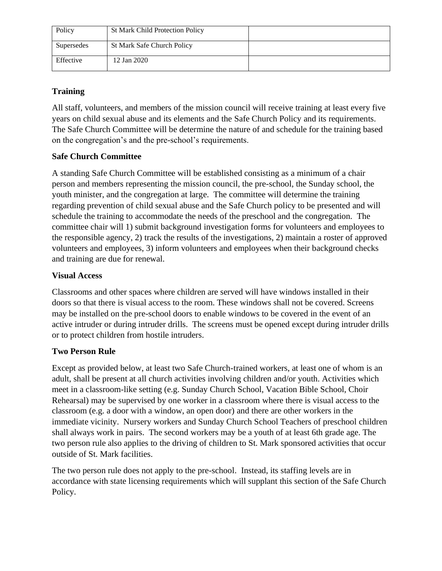| Policy     | <b>St Mark Child Protection Policy</b> |  |
|------------|----------------------------------------|--|
| Supersedes | St Mark Safe Church Policy             |  |
| Effective  | 12 Jan 2020                            |  |

# **Training**

All staff, volunteers, and members of the mission council will receive training at least every five years on child sexual abuse and its elements and the Safe Church Policy and its requirements. The Safe Church Committee will be determine the nature of and schedule for the training based on the congregation's and the pre-school's requirements.

# **Safe Church Committee**

A standing Safe Church Committee will be established consisting as a minimum of a chair person and members representing the mission council, the pre-school, the Sunday school, the youth minister, and the congregation at large. The committee will determine the training regarding prevention of child sexual abuse and the Safe Church policy to be presented and will schedule the training to accommodate the needs of the preschool and the congregation. The committee chair will 1) submit background investigation forms for volunteers and employees to the responsible agency, 2) track the results of the investigations, 2) maintain a roster of approved volunteers and employees, 3) inform volunteers and employees when their background checks and training are due for renewal.

### **Visual Access**

Classrooms and other spaces where children are served will have windows installed in their doors so that there is visual access to the room. These windows shall not be covered. Screens may be installed on the pre-school doors to enable windows to be covered in the event of an active intruder or during intruder drills. The screens must be opened except during intruder drills or to protect children from hostile intruders.

### **Two Person Rule**

Except as provided below, at least two Safe Church-trained workers, at least one of whom is an adult, shall be present at all church activities involving children and/or youth. Activities which meet in a classroom-like setting (e.g. Sunday Church School, Vacation Bible School, Choir Rehearsal) may be supervised by one worker in a classroom where there is visual access to the classroom (e.g. a door with a window, an open door) and there are other workers in the immediate vicinity. Nursery workers and Sunday Church School Teachers of preschool children shall always work in pairs. The second workers may be a youth of at least 6th grade age. The two person rule also applies to the driving of children to St. Mark sponsored activities that occur outside of St. Mark facilities.

The two person rule does not apply to the pre-school. Instead, its staffing levels are in accordance with state licensing requirements which will supplant this section of the Safe Church Policy.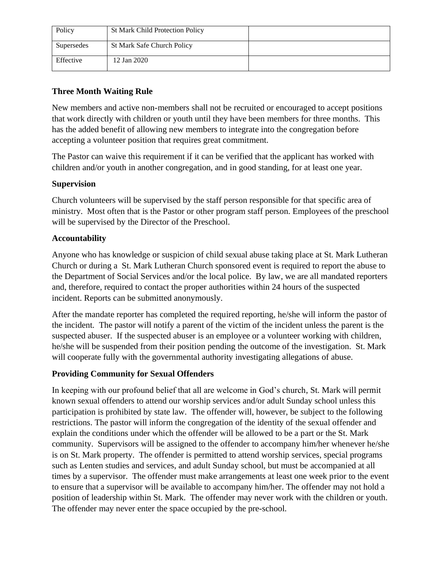| Policy     | <b>St Mark Child Protection Policy</b> |  |
|------------|----------------------------------------|--|
| Supersedes | St Mark Safe Church Policy             |  |
| Effective  | 12 Jan 2020                            |  |

## **Three Month Waiting Rule**

New members and active non-members shall not be recruited or encouraged to accept positions that work directly with children or youth until they have been members for three months. This has the added benefit of allowing new members to integrate into the congregation before accepting a volunteer position that requires great commitment.

The Pastor can waive this requirement if it can be verified that the applicant has worked with children and/or youth in another congregation, and in good standing, for at least one year.

#### **Supervision**

Church volunteers will be supervised by the staff person responsible for that specific area of ministry. Most often that is the Pastor or other program staff person. Employees of the preschool will be supervised by the Director of the Preschool.

#### **Accountability**

Anyone who has knowledge or suspicion of child sexual abuse taking place at St. Mark Lutheran Church or during a St. Mark Lutheran Church sponsored event is required to report the abuse to the Department of Social Services and/or the local police. By law, we are all mandated reporters and, therefore, required to contact the proper authorities within 24 hours of the suspected incident. Reports can be submitted anonymously.

After the mandate reporter has completed the required reporting, he/she will inform the pastor of the incident. The pastor will notify a parent of the victim of the incident unless the parent is the suspected abuser. If the suspected abuser is an employee or a volunteer working with children, he/she will be suspended from their position pending the outcome of the investigation. St. Mark will cooperate fully with the governmental authority investigating allegations of abuse.

### **Providing Community for Sexual Offenders**

In keeping with our profound belief that all are welcome in God's church, St. Mark will permit known sexual offenders to attend our worship services and/or adult Sunday school unless this participation is prohibited by state law. The offender will, however, be subject to the following restrictions. The pastor will inform the congregation of the identity of the sexual offender and explain the conditions under which the offender will be allowed to be a part or the St. Mark community. Supervisors will be assigned to the offender to accompany him/her whenever he/she is on St. Mark property. The offender is permitted to attend worship services, special programs such as Lenten studies and services, and adult Sunday school, but must be accompanied at all times by a supervisor. The offender must make arrangements at least one week prior to the event to ensure that a supervisor will be available to accompany him/her. The offender may not hold a position of leadership within St. Mark. The offender may never work with the children or youth. The offender may never enter the space occupied by the pre-school.